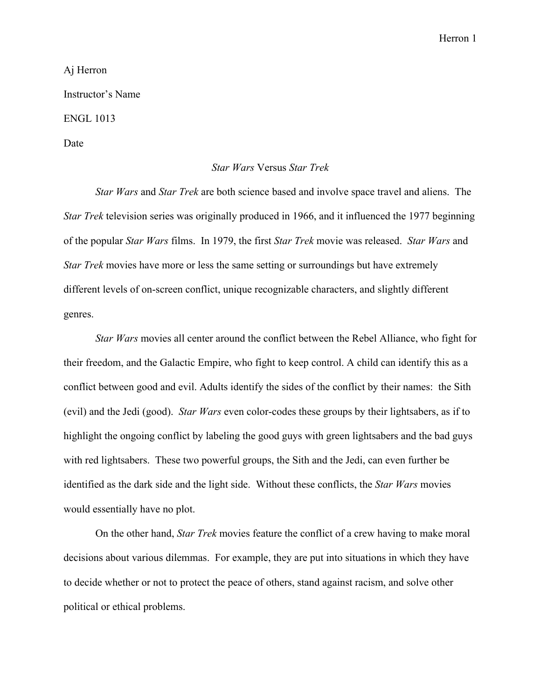## Herron 1

## Aj Herron Instructor's Name ENGL 1013 Date

## *Star Wars* Versus *Star Trek*

*Star Wars* and *Star Trek* are both science based and involve space travel and aliens. The *Star Trek* television series was originally produced in 1966, and it influenced the 1977 beginning of the popular *Star Wars* films. In 1979, the first *Star Trek* movie was released. *Star Wars* and *Star Trek* movies have more or less the same setting or surroundings but have extremely different levels of on-screen conflict, unique recognizable characters, and slightly different genres.

*Star Wars* movies all center around the conflict between the Rebel Alliance, who fight for their freedom, and the Galactic Empire, who fight to keep control. A child can identify this as a conflict between good and evil. Adults identify the sides of the conflict by their names: the Sith (evil) and the Jedi (good). *Star Wars* even color-codes these groups by their lightsabers, as if to highlight the ongoing conflict by labeling the good guys with green lightsabers and the bad guys with red lightsabers. These two powerful groups, the Sith and the Jedi, can even further be identified as the dark side and the light side. Without these conflicts, the *Star Wars* movies would essentially have no plot.

On the other hand, *Star Trek* movies feature the conflict of a crew having to make moral decisions about various dilemmas. For example, they are put into situations in which they have to decide whether or not to protect the peace of others, stand against racism, and solve other political or ethical problems.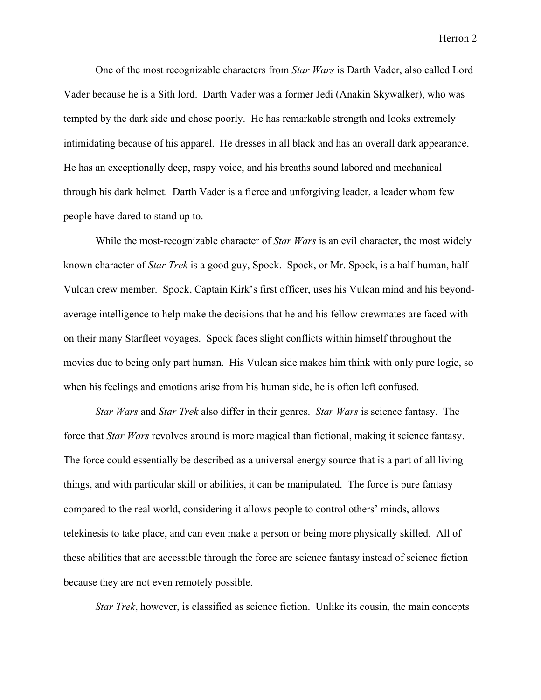Herron 2

One of the most recognizable characters from *Star Wars* is Darth Vader, also called Lord Vader because he is a Sith lord. Darth Vader was a former Jedi (Anakin Skywalker), who was tempted by the dark side and chose poorly. He has remarkable strength and looks extremely intimidating because of his apparel. He dresses in all black and has an overall dark appearance. He has an exceptionally deep, raspy voice, and his breaths sound labored and mechanical through his dark helmet. Darth Vader is a fierce and unforgiving leader, a leader whom few people have dared to stand up to.

While the most-recognizable character of *Star Wars* is an evil character, the most widely known character of *Star Trek* is a good guy, Spock. Spock, or Mr. Spock, is a half-human, half-Vulcan crew member. Spock, Captain Kirk's first officer, uses his Vulcan mind and his beyondaverage intelligence to help make the decisions that he and his fellow crewmates are faced with on their many Starfleet voyages. Spock faces slight conflicts within himself throughout the movies due to being only part human. His Vulcan side makes him think with only pure logic, so when his feelings and emotions arise from his human side, he is often left confused.

*Star Wars* and *Star Trek* also differ in their genres. *Star Wars* is science fantasy. The force that *Star Wars* revolves around is more magical than fictional, making it science fantasy. The force could essentially be described as a universal energy source that is a part of all living things, and with particular skill or abilities, it can be manipulated. The force is pure fantasy compared to the real world, considering it allows people to control others' minds, allows telekinesis to take place, and can even make a person or being more physically skilled. All of these abilities that are accessible through the force are science fantasy instead of science fiction because they are not even remotely possible.

*Star Trek*, however, is classified as science fiction. Unlike its cousin, the main concepts